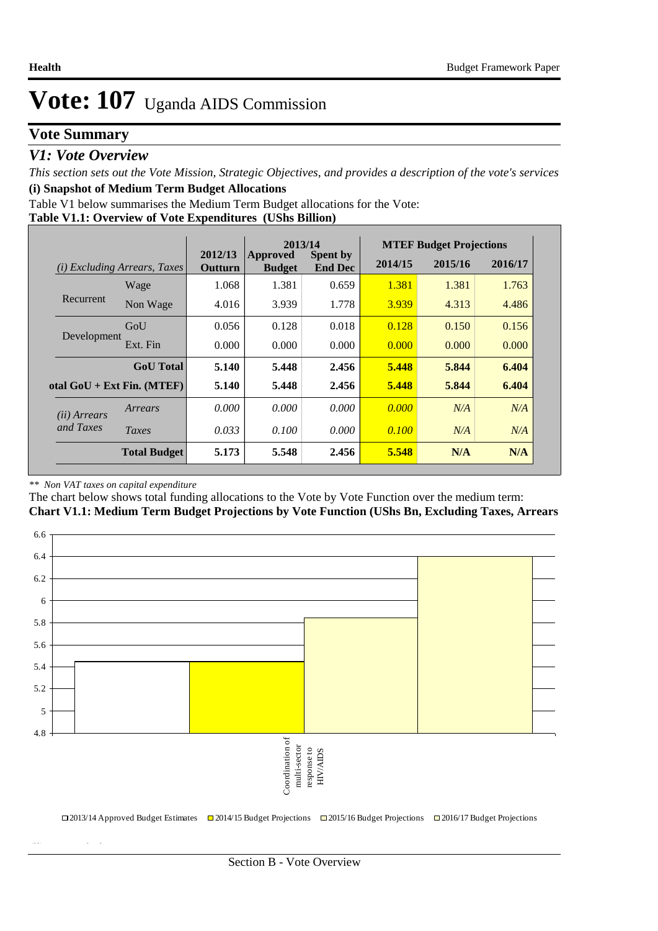### **Vote Summary**

#### *V1: Vote Overview*

*This section sets out the Vote Mission, Strategic Objectives, and provides a description of the vote's services* **(i) Snapshot of Medium Term Budget Allocations** 

Table V1 below summarises the Medium Term Budget allocations for the Vote:

|  | Table V1.1: Overview of Vote Expenditures (UShs Billion) |  |
|--|----------------------------------------------------------|--|
|  |                                                          |  |

|                       |                                 |                    | 2013/14<br><b>Spent by</b><br>Approved |                |         | <b>MTEF Budget Projections</b> |         |
|-----------------------|---------------------------------|--------------------|----------------------------------------|----------------|---------|--------------------------------|---------|
| (i)                   | <i>Excluding Arrears, Taxes</i> | 2012/13<br>Outturn | <b>Budget</b>                          | <b>End Dec</b> | 2014/15 | 2015/16                        | 2016/17 |
|                       | Wage                            | 1.068              | 1.381                                  | 0.659          | 1.381   | 1.381                          | 1.763   |
| Recurrent             | Non Wage                        | 4.016              | 3.939                                  | 1.778          | 3.939   | 4.313                          | 4.486   |
|                       | GoU                             | 0.056              | 0.128                                  | 0.018          | 0.128   | 0.150                          | 0.156   |
| Development           | Ext. Fin                        | 0.000              | 0.000                                  | 0.000          | 0.000   | 0.000                          | 0.000   |
|                       | <b>GoU</b> Total                | 5.140              | 5.448                                  | 2.456          | 5.448   | 5.844                          | 6.404   |
|                       | otal $GoU + Ext Fin. (MTEF)$    | 5.140              | 5.448                                  | 2.456          | 5.448   | 5.844                          | 6.404   |
| ( <i>ii</i> ) Arrears | Arrears                         | 0.000              | 0.000                                  | 0.000          | 0.000   | N/A                            | N/A     |
| and Taxes             | Taxes                           | 0.033              | 0.100                                  | 0.000          | 0.100   | N/A                            | N/A     |
|                       | <b>Total Budget</b>             | 5.173              | 5.548                                  | 2.456          | 5.548   | N/A                            | N/A     |

#### *\*\* Non VAT taxes on capital expenditure*

**(ii) Vote Mission Statement**

The chart below shows total funding allocations to the Vote by Vote Function over the medium term:

**Chart V1.1: Medium Term Budget Projections by Vote Function (UShs Bn, Excluding Taxes, Arrears**

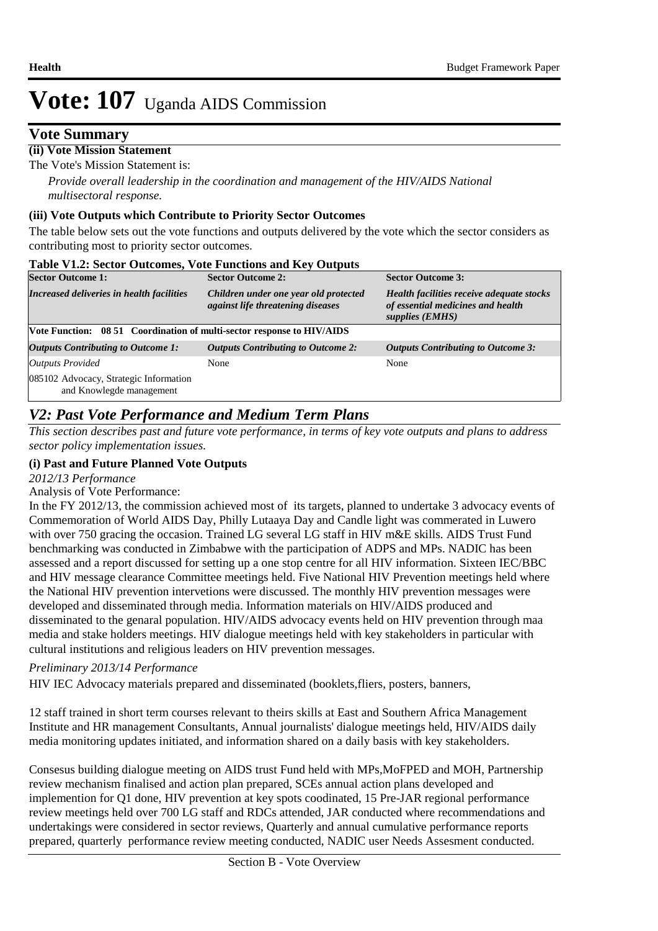### **Vote Summary**

#### **(ii) Vote Mission Statement**

The Vote's Mission Statement is:

*Provide overall leadership in the coordination and management of the HIV/AIDS National multisectoral response.*

#### **(iii) Vote Outputs which Contribute to Priority Sector Outcomes**

The table below sets out the vote functions and outputs delivered by the vote which the sector considers as contributing most to priority sector outcomes.

| <b>Table V1.2: Sector Outcomes, Vote Functions and Key Outputs</b>     |                                                                            |                                                                                                   |
|------------------------------------------------------------------------|----------------------------------------------------------------------------|---------------------------------------------------------------------------------------------------|
| <b>Sector Outcome 1:</b>                                               | <b>Sector Outcome 2:</b>                                                   | <b>Sector Outcome 3:</b>                                                                          |
| Increased deliveries in health facilities                              | Children under one year old protected<br>against life threatening diseases | Health facilities receive adequate stocks<br>of essential medicines and health<br>supplies (EMHS) |
| Vote Function: 08 51 Coordination of multi-sector response to HIV/AIDS |                                                                            |                                                                                                   |
| <b>Outputs Contributing to Outcome 1:</b>                              | <b>Outputs Contributing to Outcome 2:</b>                                  | <b>Outputs Contributing to Outcome 3:</b>                                                         |
| <b>Outputs Provided</b>                                                | None                                                                       | None                                                                                              |
| 085102 Advocacy, Strategic Information<br>and Knowlegde management     |                                                                            |                                                                                                   |

### *V2: Past Vote Performance and Medium Term Plans*

*This section describes past and future vote performance, in terms of key vote outputs and plans to address sector policy implementation issues.* 

#### **(i) Past and Future Planned Vote Outputs**

*2012/13 Performance*

Analysis of Vote Performance:

In the FY 2012/13, the commission achieved most of its targets, planned to undertake 3 advocacy events of Commemoration of World AIDS Day, Philly Lutaaya Day and Candle light was commerated in Luwero with over 750 gracing the occasion. Trained LG several LG staff in HIV m&E skills. AIDS Trust Fund benchmarking was conducted in Zimbabwe with the participation of ADPS and MPs. NADIC has been assessed and a report discussed for setting up a one stop centre for all HIV information. Sixteen IEC/BBC and HIV message clearance Committee meetings held. Five National HIV Prevention meetings held where the National HIV prevention intervetions were discussed. The monthly HIV prevention messages were developed and disseminated through media. Information materials on HIV/AIDS produced and disseminated to the genaral population. HIV/AIDS advocacy events held on HIV prevention through maa media and stake holders meetings. HIV dialogue meetings held with key stakeholders in particular with cultural institutions and religious leaders on HIV prevention messages.

#### *Preliminary 2013/14 Performance*

HIV IEC Advocacy materials prepared and disseminated (booklets,fliers, posters, banners,

12 staff trained in short term courses relevant to theirs skills at East and Southern Africa Management Institute and HR management Consultants, Annual journalists' dialogue meetings held, HIV/AIDS daily media monitoring updates initiated, and information shared on a daily basis with key stakeholders.

Consesus building dialogue meeting on AIDS trust Fund held with MPs,MoFPED and MOH, Partnership review mechanism finalised and action plan prepared, SCEs annual action plans developed and implemention for Q1 done, HIV prevention at key spots coodinated, 15 Pre-JAR regional performance review meetings held over 700 LG staff and RDCs attended, JAR conducted where recommendations and undertakings were considered in sector reviews, Quarterly and annual cumulative performance reports prepared, quarterly performance review meeting conducted, NADIC user Needs Assesment conducted.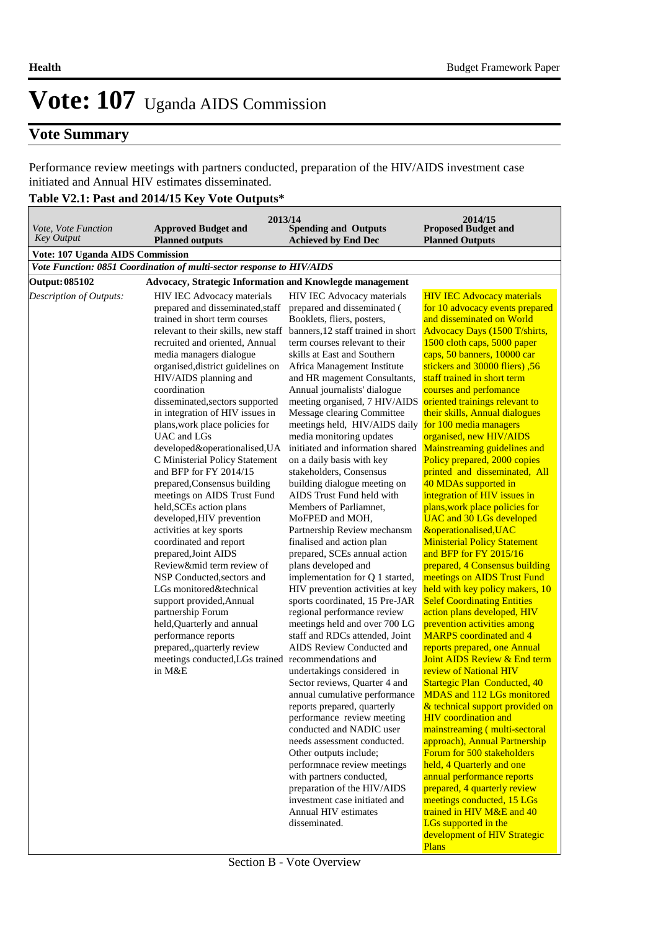### **Vote Summary**

Performance review meetings with partners conducted, preparation of the HIV/AIDS investment case initiated and Annual HIV estimates disseminated.

## **Table V2.1: Past and 2014/15 Key Vote Outputs\***

|                                          | 2013/14                                                               |                                                                                    | 2014/15                                                               |
|------------------------------------------|-----------------------------------------------------------------------|------------------------------------------------------------------------------------|-----------------------------------------------------------------------|
| Vote, Vote Function<br><b>Key Output</b> | <b>Approved Budget and</b><br><b>Planned outputs</b>                  | <b>Spending and Outputs</b><br><b>Achieved by End Dec</b>                          | <b>Proposed Budget and</b><br><b>Planned Outputs</b>                  |
| Vote: 107 Uganda AIDS Commission         |                                                                       |                                                                                    |                                                                       |
|                                          | Vote Function: 0851 Coordination of multi-sector response to HIV/AIDS |                                                                                    |                                                                       |
| <b>Output: 085102</b>                    | Advocacy, Strategic Information and Knowlegde management              |                                                                                    |                                                                       |
| Description of Outputs:                  | HIV IEC Advocacy materials                                            | HIV IEC Advocacy materials                                                         | <b>HIV IEC Advocacy materials</b>                                     |
|                                          | prepared and disseminated, staff                                      | prepared and disseminated (                                                        | for 10 advocacy events prepared                                       |
|                                          | trained in short term courses                                         | Booklets, fliers, posters,                                                         | and disseminated on World                                             |
|                                          | relevant to their skills, new staff                                   | banners, 12 staff trained in short                                                 | Advocacy Days (1500 T/shirts,                                         |
|                                          | recruited and oriented, Annual                                        | term courses relevant to their                                                     | 1500 cloth caps, 5000 paper                                           |
|                                          | media managers dialogue                                               | skills at East and Southern                                                        | caps, 50 banners, 10000 car                                           |
|                                          | organised, district guidelines on                                     | Africa Management Institute                                                        | stickers and 30000 fliers), 56                                        |
|                                          | HIV/AIDS planning and                                                 | and HR magement Consultants,                                                       | staff trained in short term                                           |
|                                          | coordination                                                          | Annual journalists' dialogue                                                       | courses and perfomance                                                |
|                                          | disseminated, sectors supported                                       | meeting organised, 7 HIV/AIDS                                                      | oriented trainings relevant to                                        |
|                                          | in integration of HIV issues in<br>plans, work place policies for     | Message clearing Committee<br>meetings held, HIV/AIDS daily for 100 media managers | their skills, Annual dialogues                                        |
|                                          | UAC and LGs                                                           | media monitoring updates                                                           | organised, new HIV/AIDS                                               |
|                                          | developed&operationalised, UA                                         | initiated and information shared                                                   | Mainstreaming guidelines and                                          |
|                                          | C Ministerial Policy Statement                                        | on a daily basis with key                                                          | Policy prepared, 2000 copies                                          |
|                                          | and BFP for FY 2014/15                                                | stakeholders, Consensus                                                            | printed and disseminated, All                                         |
|                                          | prepared, Consensus building                                          | building dialogue meeting on                                                       | 40 MDAs supported in                                                  |
|                                          | meetings on AIDS Trust Fund                                           | AIDS Trust Fund held with                                                          | integration of HIV issues in                                          |
|                                          | held, SCEs action plans                                               | Members of Parliamnet,                                                             | plans, work place policies for                                        |
|                                          | developed, HIV prevention                                             | MoFPED and MOH,                                                                    | <b>UAC</b> and 30 LGs developed                                       |
|                                          | activities at key sports                                              | Partnership Review mechansm                                                        | &operationalised, UAC                                                 |
|                                          | coordinated and report                                                | finalised and action plan                                                          | <b>Ministerial Policy Statement</b>                                   |
|                                          | prepared, Joint AIDS                                                  | prepared, SCEs annual action                                                       | and BFP for FY 2015/16                                                |
|                                          | Review∣ term review of                                                | plans developed and                                                                | prepared, 4 Consensus building                                        |
|                                          | NSP Conducted, sectors and                                            | implementation for Q 1 started,                                                    | meetings on AIDS Trust Fund                                           |
|                                          | LGs monitored&technical<br>support provided, Annual                   | HIV prevention activities at key<br>sports coordinated, 15 Pre-JAR                 | held with key policy makers, 10<br><b>Selef Coordinating Entities</b> |
|                                          | partnership Forum                                                     | regional performance review                                                        | action plans developed, HIV                                           |
|                                          | held, Quarterly and annual                                            | meetings held and over 700 LG                                                      | prevention activities among                                           |
|                                          | performance reports                                                   | staff and RDCs attended, Joint                                                     | <b>MARPS</b> coordinated and 4                                        |
|                                          | prepared,,quarterly review                                            | AIDS Review Conducted and                                                          | reports prepared, one Annual                                          |
|                                          | meetings conducted, LGs trained                                       | recommendations and                                                                | Joint AIDS Review & End term                                          |
|                                          | in M&E                                                                | undertakings considered in                                                         | review of National HIV                                                |
|                                          |                                                                       | Sector reviews, Quarter 4 and                                                      | <b>Startegic Plan Conducted, 40</b>                                   |
|                                          |                                                                       | annual cumulative performance                                                      | MDAS and 112 LGs monitored                                            |
|                                          |                                                                       | reports prepared, quarterly                                                        | & technical support provided on                                       |
|                                          |                                                                       | performance review meeting                                                         | <b>HIV</b> coordination and                                           |
|                                          |                                                                       | conducted and NADIC user                                                           | mainstreaming (multi-sectoral                                         |
|                                          |                                                                       | needs assessment conducted.<br>Other outputs include;                              | approach), Annual Partnership<br>Forum for 500 stakeholders           |
|                                          |                                                                       | performnace review meetings                                                        | held, 4 Quarterly and one                                             |
|                                          |                                                                       | with partners conducted,                                                           | annual performance reports                                            |
|                                          |                                                                       | preparation of the HIV/AIDS                                                        | prepared, 4 quarterly review                                          |
|                                          |                                                                       | investment case initiated and                                                      | meetings conducted, 15 LGs                                            |
|                                          |                                                                       | Annual HIV estimates                                                               | trained in HIV M&E and 40                                             |
|                                          |                                                                       | disseminated.                                                                      | LGs supported in the                                                  |
|                                          |                                                                       |                                                                                    | development of HIV Strategic                                          |
|                                          |                                                                       |                                                                                    | <b>Plans</b>                                                          |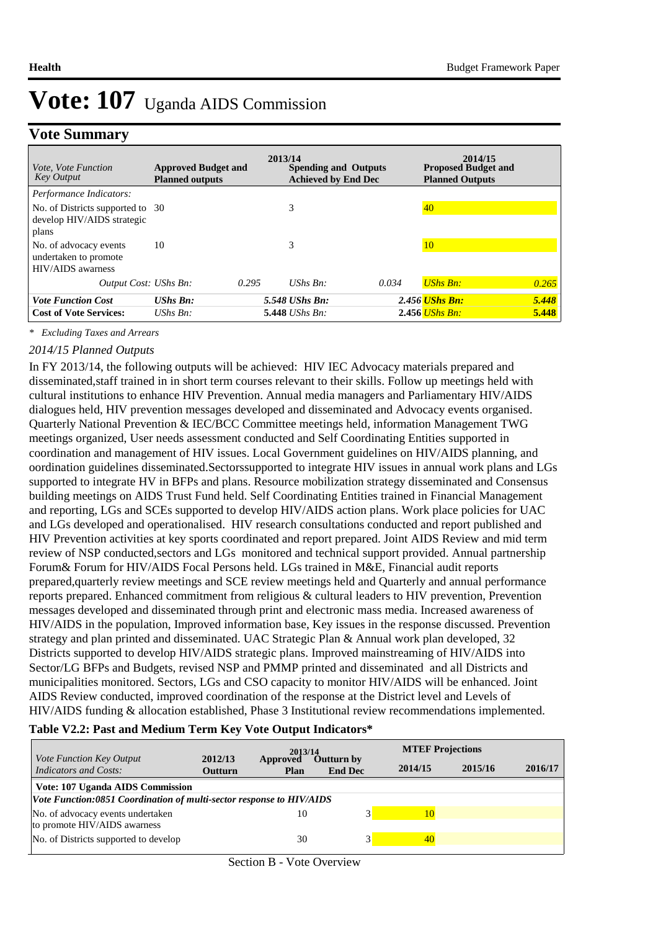### **Vote Summary**

| <i>Vote, Vote Function</i><br><b>Key Output</b>                      | <b>Approved Budget and</b><br><b>Planned outputs</b> | 2013/14 | <b>Spending and Outputs</b><br><b>Achieved by End Dec</b> |       | 2014/15<br><b>Proposed Budget and</b><br><b>Planned Outputs</b> |       |
|----------------------------------------------------------------------|------------------------------------------------------|---------|-----------------------------------------------------------|-------|-----------------------------------------------------------------|-------|
| Performance Indicators:<br>No. of Districts supported to 30          |                                                      |         | 3                                                         |       | 40                                                              |       |
| develop HIV/AIDS strategic<br>plans                                  |                                                      |         |                                                           |       |                                                                 |       |
| No. of advocacy events<br>undertaken to promote<br>HIV/AIDS awarness | 10                                                   |         | 3                                                         |       | 10                                                              |       |
| Output Cost: UShs Bn:                                                |                                                      | 0.295   | $UShs$ $Bn$ :                                             | 0.034 | <b>UShs Bn:</b>                                                 | 0.265 |
| <b>Vote Function Cost</b>                                            | $UShs Bn:$                                           |         | 5.548 UShs Bn:                                            |       | 2.456 <i>UShs Bn:</i>                                           | 5.448 |
| <b>Cost of Vote Services:</b>                                        | UShs $Bn$ :                                          |         | 5.448 <i>UShs Bn</i> :                                    |       | $2.456$ UShs Bn:                                                | 5.448 |

*\* Excluding Taxes and Arrears*

#### *2014/15 Planned Outputs*

In FY 2013/14, the following outputs will be achieved: HIV IEC Advocacy materials prepared and disseminated,staff trained in in short term courses relevant to their skills. Follow up meetings held with cultural institutions to enhance HIV Prevention. Annual media managers and Parliamentary HIV/AIDS dialogues held, HIV prevention messages developed and disseminated and Advocacy events organised. Quarterly National Prevention & IEC/BCC Committee meetings held, information Management TWG meetings organized, User needs assessment conducted and Self Coordinating Entities supported in coordination and management of HIV issues. Local Government guidelines on HIV/AIDS planning, and oordination guidelines disseminated.Sectorssupported to integrate HIV issues in annual work plans and LGs supported to integrate HV in BFPs and plans. Resource mobilization strategy disseminated and Consensus building meetings on AIDS Trust Fund held. Self Coordinating Entities trained in Financial Management and reporting, LGs and SCEs supported to develop HIV/AIDS action plans. Work place policies for UAC and LGs developed and operationalised. HIV research consultations conducted and report published and HIV Prevention activities at key sports coordinated and report prepared. Joint AIDS Review and mid term review of NSP conducted,sectors and LGs monitored and technical support provided. Annual partnership Forum& Forum for HIV/AIDS Focal Persons held. LGs trained in M&E, Financial audit reports prepared,quarterly review meetings and SCE review meetings held and Quarterly and annual performance reports prepared. Enhanced commitment from religious & cultural leaders to HIV prevention, Prevention messages developed and disseminated through print and electronic mass media. Increased awareness of HIV/AIDS in the population, Improved information base, Key issues in the response discussed. Prevention strategy and plan printed and disseminated. UAC Strategic Plan & Annual work plan developed, 32 Districts supported to develop HIV/AIDS strategic plans. Improved mainstreaming of HIV/AIDS into Sector/LG BFPs and Budgets, revised NSP and PMMP printed and disseminated and all Districts and municipalities monitored. Sectors, LGs and CSO capacity to monitor HIV/AIDS will be enhanced. Joint AIDS Review conducted, improved coordination of the response at the District level and Levels of HIV/AIDS funding & allocation established, Phase 3 Institutional review recommendations implemented.

#### **Table V2.2: Past and Medium Term Key Vote Output Indicators\***

|                                                                                                          |                           |                         | 2013/14                             |         | <b>MTEF Projections</b> |         |  |
|----------------------------------------------------------------------------------------------------------|---------------------------|-------------------------|-------------------------------------|---------|-------------------------|---------|--|
| Vote Function Key Output<br><b>Indicators and Costs:</b>                                                 | 2012/13<br><b>Outturn</b> | Approved<br><b>Plan</b> | <b>Outturn by</b><br><b>End Dec</b> | 2014/15 | 2015/16                 | 2016/17 |  |
| Vote: 107 Uganda AIDS Commission<br>Vote Function:0851 Coordination of multi-sector response to HIV/AIDS |                           |                         |                                     |         |                         |         |  |
| No. of advocacy events undertaken<br>to promote HIV/AIDS awarness                                        |                           | 10                      |                                     | 10      |                         |         |  |
| No. of Districts supported to develop                                                                    |                           | 30                      |                                     | 40      |                         |         |  |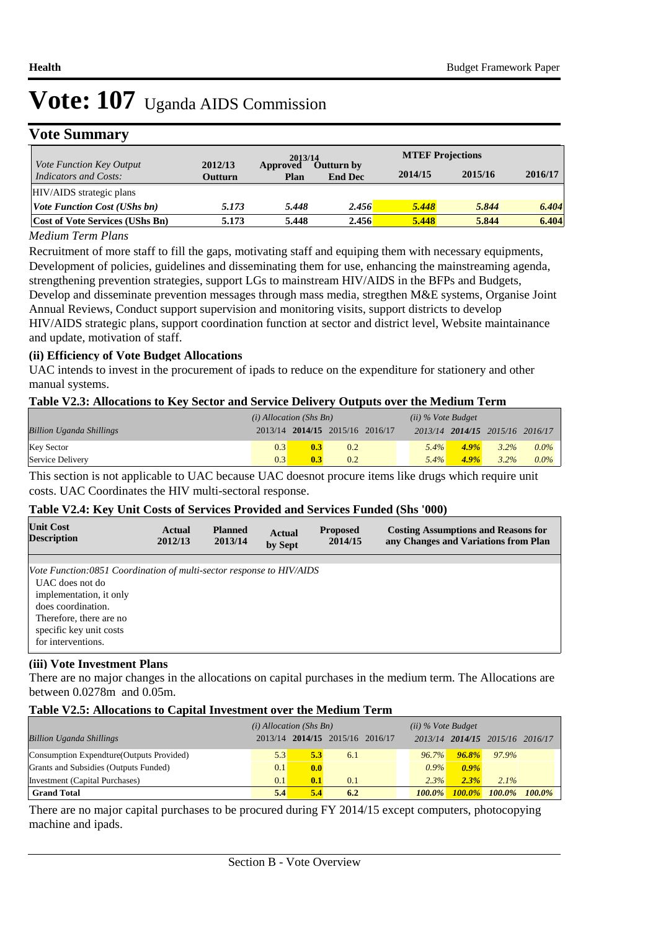### **Vote Summary**

|                                                          |                    | 2013/14          |                                     | <b>MTEF Projections</b> |         |         |
|----------------------------------------------------------|--------------------|------------------|-------------------------------------|-------------------------|---------|---------|
| <i>Vote Function Key Output</i><br>Indicators and Costs: | 2012/13<br>Outturn | Approved<br>Plan | <b>Outturn by</b><br><b>End Dec</b> | 2014/15                 | 2015/16 | 2016/17 |
| HIV/AIDS strategic plans                                 |                    |                  |                                     |                         |         |         |
| <b>Vote Function Cost (UShs bn)</b>                      | 5.173              | 5.448            | 2.456                               | 5.448                   | 5.844   | 6.404   |
| <b>Cost of Vote Services (UShs Bn)</b>                   | 5.173              | 5.448            | 2.456                               | 5.448                   | 5.844   | 6.404   |

#### *Medium Term Plans*

Recruitment of more staff to fill the gaps, motivating staff and equiping them with necessary equipments, Development of policies, guidelines and disseminating them for use, enhancing the mainstreaming agenda, strengthening prevention strategies, support LGs to mainstream HIV/AIDS in the BFPs and Budgets, Develop and disseminate prevention messages through mass media, stregthen M&E systems, Organise Joint Annual Reviews, Conduct support supervision and monitoring visits, support districts to develop HIV/AIDS strategic plans, support coordination function at sector and district level, Website maintainance and update, motivation of staff.

#### **(ii) Efficiency of Vote Budget Allocations**

UAC intends to invest in the procurement of ipads to reduce on the expenditure for stationery and other manual systems.

#### **Table V2.3: Allocations to Key Sector and Service Delivery Outputs over the Medium Term**

|                                 | $(i)$ Allocation (Shs Bn) |                                 |     | $(ii)$ % Vote Budget |         |                                 |         |
|---------------------------------|---------------------------|---------------------------------|-----|----------------------|---------|---------------------------------|---------|
| <b>Billion Uganda Shillings</b> |                           | 2013/14 2014/15 2015/16 2016/17 |     |                      |         | 2013/14 2014/15 2015/16 2016/17 |         |
| <b>Key Sector</b>               | 0.3                       | 0.3                             | 0.2 | $5.4\%$              | $4.9\%$ | $3.2\%$                         | $0.0\%$ |
| Service Delivery                | 0.3                       | 0.3                             | 0.2 | $5.4\%$              | $4.9\%$ | $3.2\%$                         | $0.0\%$ |

This section is not applicable to UAC because UAC doesnot procure items like drugs which require unit costs. UAC Coordinates the HIV multi-sectoral response.

#### **Table V2.4: Key Unit Costs of Services Provided and Services Funded (Shs '000)**

| <b>Unit Cost</b>                                                                                                                                                                                                     | Actual  | <b>Planned</b> | <b>Actual</b> | <b>Proposed</b> | <b>Costing Assumptions and Reasons for</b> |
|----------------------------------------------------------------------------------------------------------------------------------------------------------------------------------------------------------------------|---------|----------------|---------------|-----------------|--------------------------------------------|
| <b>Description</b>                                                                                                                                                                                                   | 2012/13 | 2013/14        | by Sept       | 2014/15         | any Changes and Variations from Plan       |
| Vote Function:0851 Coordination of multi-sector response to HIV/AIDS<br>UAC does not do<br>implementation, it only<br>does coordination.<br>Therefore, there are no<br>specific key unit costs<br>for interventions. |         |                |               |                 |                                            |

#### **(iii) Vote Investment Plans**

There are no major changes in the allocations on capital purchases in the medium term. The Allocations are between 0.0278m and 0.05m.

#### **Table V2.5: Allocations to Capital Investment over the Medium Term**

|                                           | $(i)$ Allocation (Shs Bn) |     |                                 |  | $(ii)$ % Vote Budget |          |                                 |           |
|-------------------------------------------|---------------------------|-----|---------------------------------|--|----------------------|----------|---------------------------------|-----------|
| <b>Billion Uganda Shillings</b>           |                           |     | 2013/14 2014/15 2015/16 2016/17 |  |                      |          | 2013/14 2014/15 2015/16 2016/17 |           |
| Consumption Expendture (Outputs Provided) | 5.3                       | 5.3 | 6.1                             |  | $96.7\%$             | $96.8\%$ | 97.9%                           |           |
| Grants and Subsidies (Outputs Funded)     | 0.1                       | 0.0 |                                 |  | $0.9\%$              | $0.9\%$  |                                 |           |
| Investment (Capital Purchases)            | 0.1                       | 0.1 | 0.1                             |  | 2.3%                 | 2.3%     | $2.1\%$                         |           |
| <b>Grand Total</b>                        | 5.4                       | 5.4 | 6.2                             |  | $100.0\%$            |          | $100.0\%$ $100.0\%$             | $100.0\%$ |

There are no major capital purchases to be procured during FY 2014/15 except computers, photocopying machine and ipads.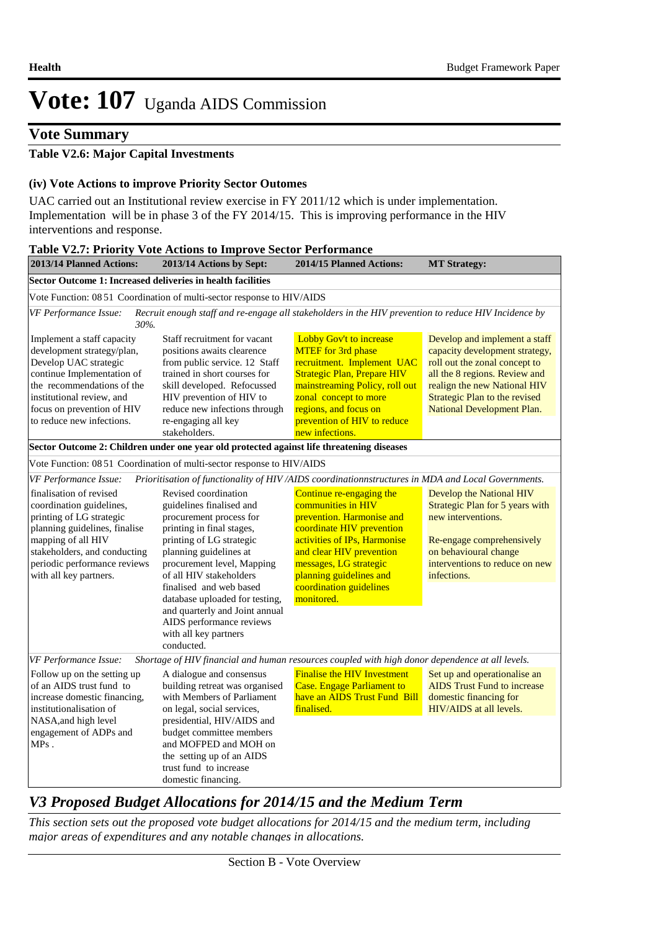#### **Vote Summary**

#### **Table V2.6: Major Capital Investments**

#### **(iv) Vote Actions to improve Priority Sector Outomes**

UAC carried out an Institutional review exercise in FY 2011/12 which is under implementation. Implementation will be in phase 3 of the FY 2014/15. This is improving performance in the HIV interventions and response.

| 2013/14 Planned Actions:                                                                                                                                                                                                              | 2013/14 Actions by Sept:                                                                                                                                                                                                                                                                                                                                                                  | <b>2014/15 Planned Actions:</b>                                                                                                                                                                                                                                    | <b>MT Strategy:</b>                                                                                                                                                                                                              |
|---------------------------------------------------------------------------------------------------------------------------------------------------------------------------------------------------------------------------------------|-------------------------------------------------------------------------------------------------------------------------------------------------------------------------------------------------------------------------------------------------------------------------------------------------------------------------------------------------------------------------------------------|--------------------------------------------------------------------------------------------------------------------------------------------------------------------------------------------------------------------------------------------------------------------|----------------------------------------------------------------------------------------------------------------------------------------------------------------------------------------------------------------------------------|
| Sector Outcome 1: Increased deliveries in health facilities                                                                                                                                                                           |                                                                                                                                                                                                                                                                                                                                                                                           |                                                                                                                                                                                                                                                                    |                                                                                                                                                                                                                                  |
|                                                                                                                                                                                                                                       | Vote Function: 08 51 Coordination of multi-sector response to HIV/AIDS                                                                                                                                                                                                                                                                                                                    |                                                                                                                                                                                                                                                                    |                                                                                                                                                                                                                                  |
| VF Performance Issue:<br>30%.                                                                                                                                                                                                         | Recruit enough staff and re-engage all stakeholders in the HIV prevention to reduce HIV Incidence by                                                                                                                                                                                                                                                                                      |                                                                                                                                                                                                                                                                    |                                                                                                                                                                                                                                  |
| Implement a staff capacity<br>development strategy/plan,<br>Develop UAC strategic<br>continue Implementation of<br>the recommendations of the<br>institutional review, and<br>focus on prevention of HIV<br>to reduce new infections. | Staff recruitment for vacant<br>positions awaits clearence<br>from public service. 12 Staff<br>trained in short courses for<br>skill developed. Refocussed<br>HIV prevention of HIV to<br>reduce new infections through<br>re-engaging all key<br>stakeholders.                                                                                                                           | Lobby Gov't to increase<br><b>MTEF</b> for 3rd phase<br>recruitment. Implement UAC<br><b>Strategic Plan, Prepare HIV</b><br>mainstreaming Policy, roll out<br>zonal concept to more<br>regions, and focus on<br>prevention of HIV to reduce<br>new infections.     | Develop and implement a staff<br>capacity development strategy,<br>roll out the zonal concept to<br>all the 8 regions. Review and<br>realign the new National HIV<br>Strategic Plan to the revised<br>National Development Plan. |
|                                                                                                                                                                                                                                       | Sector Outcome 2: Children under one year old protected against life threatening diseases                                                                                                                                                                                                                                                                                                 |                                                                                                                                                                                                                                                                    |                                                                                                                                                                                                                                  |
|                                                                                                                                                                                                                                       | Vote Function: 08 51 Coordination of multi-sector response to HIV/AIDS                                                                                                                                                                                                                                                                                                                    |                                                                                                                                                                                                                                                                    |                                                                                                                                                                                                                                  |
| VF Performance Issue:                                                                                                                                                                                                                 | Prioritisation of functionality of HIV /AIDS coordinationnstructures in MDA and Local Governments.                                                                                                                                                                                                                                                                                        |                                                                                                                                                                                                                                                                    |                                                                                                                                                                                                                                  |
| finalisation of revised<br>coordination guidelines,<br>printing of LG strategic<br>planning guidelines, finalise<br>mapping of all HIV<br>stakeholders, and conducting<br>periodic performance reviews<br>with all key partners.      | Revised coordination<br>guidelines finalised and<br>procurement process for<br>printing in final stages,<br>printing of LG strategic<br>planning guidelines at<br>procurement level, Mapping<br>of all HIV stakeholders<br>finalised and web based<br>database uploaded for testing,<br>and quarterly and Joint annual<br>AIDS performance reviews<br>with all key partners<br>conducted. | Continue re-engaging the<br>communities in HIV<br>prevention. Harmonise and<br>coordinate HIV prevention<br>activities of IPs, Harmonise<br>and clear HIV prevention<br>messages, LG strategic<br>planning guidelines and<br>coordination guidelines<br>monitored. | Develop the National HIV<br>Strategic Plan for 5 years with<br>new interventions.<br>Re-engage comprehensively<br>on behavioural change<br>interventions to reduce on new<br>infections.                                         |
| VF Performance Issue:                                                                                                                                                                                                                 | Shortage of HIV financial and human resources coupled with high donor dependence at all levels.                                                                                                                                                                                                                                                                                           |                                                                                                                                                                                                                                                                    |                                                                                                                                                                                                                                  |
| Follow up on the setting up<br>of an AIDS trust fund to<br>increase domestic financing,<br>institutionalisation of<br>NASA, and high level<br>engagement of ADPs and<br>$MPs$ .                                                       | A dialogue and consensus<br>building retreat was organised<br>with Members of Parliament<br>on legal, social services,<br>presidential, HIV/AIDS and<br>budget committee members<br>and MOFPED and MOH on                                                                                                                                                                                 | <b>Finalise the HIV Investment</b><br><b>Case. Engage Parliament to</b><br>have an AIDS Trust Fund Bill<br>finalised.                                                                                                                                              | Set up and operationalise an<br><b>AIDS</b> Trust Fund to increase<br>domestic financing for<br>HIV/AIDS at all levels.                                                                                                          |
|                                                                                                                                                                                                                                       | the setting up of an AIDS<br>trust fund to increase<br>domestic financing.                                                                                                                                                                                                                                                                                                                |                                                                                                                                                                                                                                                                    |                                                                                                                                                                                                                                  |

### *V3 Proposed Budget Allocations for 2014/15 and the Medium Term*

*This section sets out the proposed vote budget allocations for 2014/15 and the medium term, including major areas of expenditures and any notable changes in allocations.*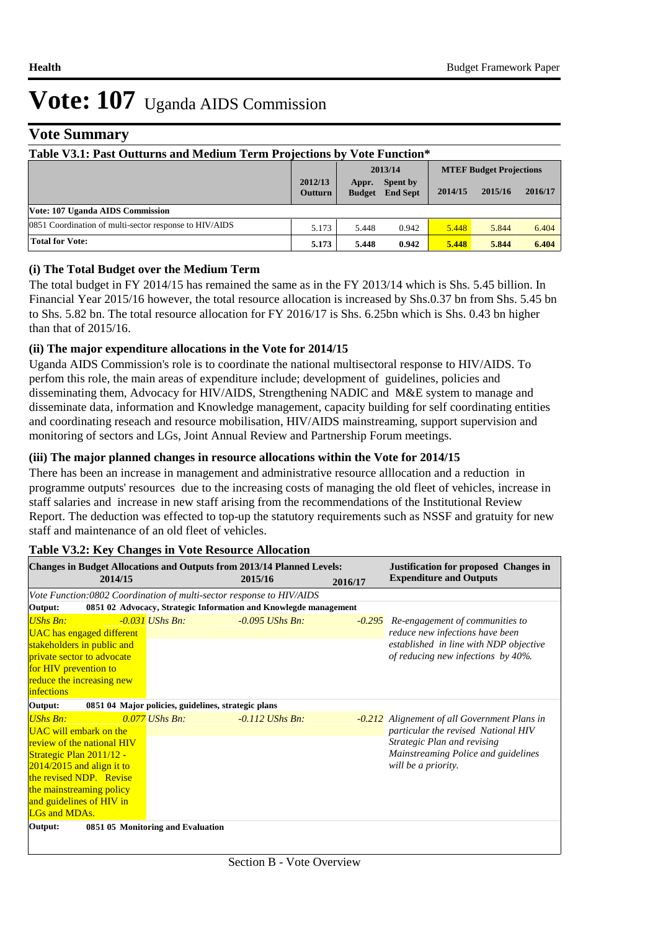### **Vote Summary**

| Table V3.1: Past Outturns and Medium Term Projections by Vote Function* |                           |                        |                                    |         |                                |         |  |  |  |
|-------------------------------------------------------------------------|---------------------------|------------------------|------------------------------------|---------|--------------------------------|---------|--|--|--|
|                                                                         | 2013/14                   |                        |                                    |         | <b>MTEF Budget Projections</b> |         |  |  |  |
|                                                                         | 2012/13<br><b>Outturn</b> | Appr.<br><b>Budget</b> | <b>Spent by</b><br><b>End Sept</b> | 2014/15 | 2015/16                        | 2016/17 |  |  |  |
| Vote: 107 Uganda AIDS Commission                                        |                           |                        |                                    |         |                                |         |  |  |  |
| 0851 Coordination of multi-sector response to HIV/AIDS                  | 5.173                     | 5.448                  | 0.942                              | 5.448   | 5.844                          | 6.404   |  |  |  |
| <b>Total for Vote:</b>                                                  | 5.173                     | 5.448                  | 0.942                              | 5.448   | 5.844                          | 6.404   |  |  |  |

#### **(i) The Total Budget over the Medium Term**

The total budget in FY 2014/15 has remained the same as in the FY 2013/14 which is Shs. 5.45 billion. In Financial Year 2015/16 however, the total resource allocation is increased by Shs.0.37 bn from Shs. 5.45 bn to Shs. 5.82 bn. The total resource allocation for FY 2016/17 is Shs. 6.25bn which is Shs. 0.43 bn higher than that of 2015/16.

#### **(ii) The major expenditure allocations in the Vote for 2014/15**

Uganda AIDS Commission's role is to coordinate the national multisectoral response to HIV/AIDS. To perfom this role, the main areas of expenditure include; development of guidelines, policies and disseminating them, Advocacy for HIV/AIDS, Strengthening NADIC and M&E system to manage and disseminate data, information and Knowledge management, capacity building for self coordinating entities and coordinating reseach and resource mobilisation, HIV/AIDS mainstreaming, support supervision and monitoring of sectors and LGs, Joint Annual Review and Partnership Forum meetings.

#### **(iii) The major planned changes in resource allocations within the Vote for 2014/15**

There has been an increase in management and administrative resource alllocation and a reduction in programme outputs' resources due to the increasing costs of managing the old fleet of vehicles, increase in staff salaries and increase in new staff arising from the recommendations of the Institutional Review Report. The deduction was effected to top-up the statutory requirements such as NSSF and gratuity for new staff and maintenance of an old fleet of vehicles.

| <b>Changes in Budget Allocations and Outputs from 2013/14 Planned Levels:</b> |  |                                                                  |         |                   |         | <b>Justification for proposed Changes in</b> |
|-------------------------------------------------------------------------------|--|------------------------------------------------------------------|---------|-------------------|---------|----------------------------------------------|
| 2014/15                                                                       |  |                                                                  | 2015/16 |                   | 2016/17 | <b>Expenditure and Outputs</b>               |
| Vote Function:0802 Coordination of multi-sector response to HIV/AIDS          |  |                                                                  |         |                   |         |                                              |
| Output:                                                                       |  | 0851 02 Advocacy, Strategic Information and Knowlegde management |         |                   |         |                                              |
| UShs Bn:                                                                      |  | $-0.031$ UShs Bn:                                                |         | $-0.095$ UShs Bn: |         | -0.295 Re-engagement of communities to       |
| <b>UAC</b> has engaged different                                              |  |                                                                  |         |                   |         | reduce new infections have been              |
| stakeholders in public and                                                    |  |                                                                  |         |                   |         | established in line with NDP objective       |
| <i>private sector to advocate</i>                                             |  |                                                                  |         |                   |         | of reducing new infections by 40%.           |
| for HIV prevention to                                                         |  |                                                                  |         |                   |         |                                              |
| reduce the increasing new                                                     |  |                                                                  |         |                   |         |                                              |
| <i>infections</i>                                                             |  |                                                                  |         |                   |         |                                              |
| Output:                                                                       |  | 0851 04 Major policies, guidelines, strategic plans              |         |                   |         |                                              |
| <b>UShs Bn:</b>                                                               |  | $0.077$ UShs Bn:                                                 |         | $-0.112$ UShs Bn: |         | -0.212 Alignement of all Government Plans in |
| <b>UAC</b> will embark on the                                                 |  |                                                                  |         |                   |         | particular the revised National HIV          |
| review of the national HIV                                                    |  |                                                                  |         |                   |         | Strategic Plan and revising                  |
| Strategic Plan 2011/12 -                                                      |  |                                                                  |         |                   |         | Mainstreaming Police and guidelines          |
| $2014/2015$ and align it to                                                   |  |                                                                  |         |                   |         | will be a priority.                          |
| the revised NDP. Revise                                                       |  |                                                                  |         |                   |         |                                              |
| the mainstreaming policy                                                      |  |                                                                  |         |                   |         |                                              |
| and guidelines of HIV in<br>LGs and MDAs.                                     |  |                                                                  |         |                   |         |                                              |
|                                                                               |  |                                                                  |         |                   |         |                                              |
| Output:                                                                       |  | 0851 05 Monitoring and Evaluation                                |         |                   |         |                                              |
|                                                                               |  |                                                                  |         |                   |         |                                              |

#### **Table V3.2: Key Changes in Vote Resource Allocation**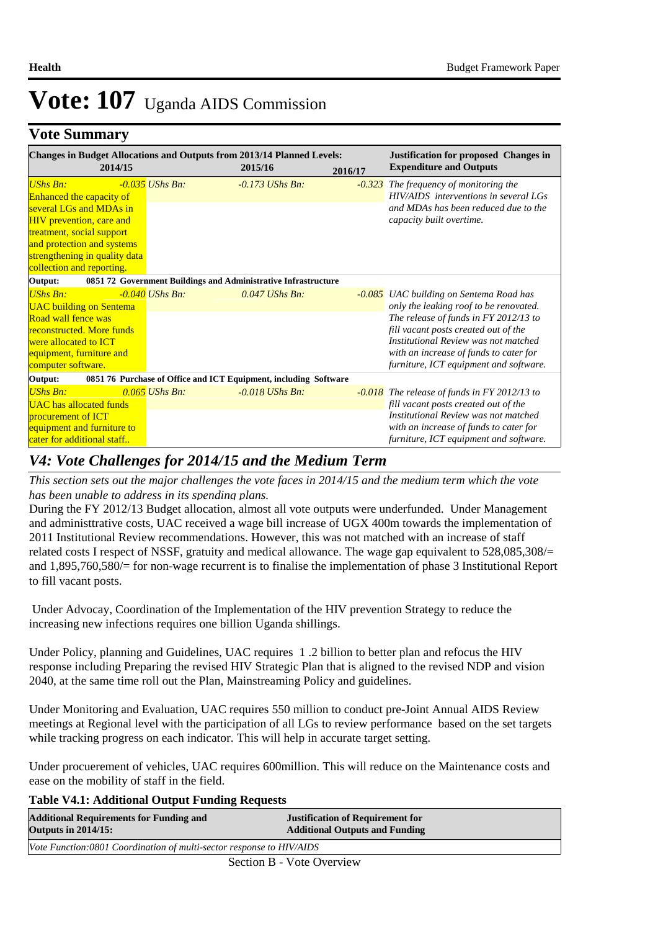### **Vote Summary**

| <b>Changes in Budget Allocations and Outputs from 2013/14 Planned Levels:</b><br>2014/15 |                   | 2015/16                                                          | 2016/17  | <b>Justification for proposed Changes in</b><br><b>Expenditure and Outputs</b>   |
|------------------------------------------------------------------------------------------|-------------------|------------------------------------------------------------------|----------|----------------------------------------------------------------------------------|
| <b>UShs Bn:</b>                                                                          | $-0.035$ UShs Bn: | $-0.173$ UShs Bn:                                                | $-0.323$ | The frequency of monitoring the                                                  |
| <b>Enhanced the capacity of</b><br>several LGs and MDAs in                               |                   |                                                                  |          | HIV/AIDS interventions in several LGs<br>and MDAs has been reduced due to the    |
| <b>HIV</b> prevention, care and                                                          |                   |                                                                  |          | capacity built overtime.                                                         |
| treatment, social support                                                                |                   |                                                                  |          |                                                                                  |
| and protection and systems                                                               |                   |                                                                  |          |                                                                                  |
| strengthening in quality data                                                            |                   |                                                                  |          |                                                                                  |
| collection and reporting.<br>Output:                                                     |                   | 0851 72 Government Buildings and Administrative Infrastructure   |          |                                                                                  |
| <b>UShs Bn:</b>                                                                          | $-0.040$ UShs Bn: | $0.047$ UShs Bn:                                                 |          | -0.085 UAC building on Sentema Road has                                          |
| <b>UAC</b> building on Sentema                                                           |                   |                                                                  |          | only the leaking roof to be renovated.                                           |
| Road wall fence was                                                                      |                   |                                                                  |          | The release of funds in FY 2012/13 to                                            |
| reconstructed. More funds                                                                |                   |                                                                  |          | fill vacant posts created out of the                                             |
| were allocated to <b>ICT</b>                                                             |                   |                                                                  |          | Institutional Review was not matched                                             |
| equipment, furniture and<br>computer software.                                           |                   |                                                                  |          | with an increase of funds to cater for<br>furniture, ICT equipment and software. |
| Output:                                                                                  |                   | 0851 76 Purchase of Office and ICT Equipment, including Software |          |                                                                                  |
| <b>UShs Bn:</b>                                                                          | $0.065$ UShs Bn:  | $-0.018$ UShs Bn:                                                |          | $-0.018$ The release of funds in FY 2012/13 to                                   |
| <b>UAC</b> has allocated funds                                                           |                   |                                                                  |          | fill vacant posts created out of the                                             |
| procurement of ICT                                                                       |                   |                                                                  |          | Institutional Review was not matched                                             |
| equipment and furniture to                                                               |                   |                                                                  |          | with an increase of funds to cater for                                           |
| cater for additional staff                                                               |                   |                                                                  |          | furniture, ICT equipment and software.                                           |

#### *V4: Vote Challenges for 2014/15 and the Medium Term*

*This section sets out the major challenges the vote faces in 2014/15 and the medium term which the vote has been unable to address in its spending plans.*

During the FY 2012/13 Budget allocation, almost all vote outputs were underfunded. Under Management and administtrative costs, UAC received a wage bill increase of UGX 400m towards the implementation of 2011 Institutional Review recommendations. However, this was not matched with an increase of staff related costs I respect of NSSF, gratuity and medical allowance. The wage gap equivalent to 528,085,308/= and 1,895,760,580/= for non-wage recurrent is to finalise the implementation of phase 3 Institutional Report to fill vacant posts.

 Under Advocay, Coordination of the Implementation of the HIV prevention Strategy to reduce the increasing new infections requires one billion Uganda shillings.

Under Policy, planning and Guidelines, UAC requires 1 .2 billion to better plan and refocus the HIV response including Preparing the revised HIV Strategic Plan that is aligned to the revised NDP and vision 2040, at the same time roll out the Plan, Mainstreaming Policy and guidelines.

Under Monitoring and Evaluation, UAC requires 550 million to conduct pre-Joint Annual AIDS Review meetings at Regional level with the participation of all LGs to review performance based on the set targets while tracking progress on each indicator. This will help in accurate target setting.

Under procuerement of vehicles, UAC requires 600million. This will reduce on the Maintenance costs and ease on the mobility of staff in the field.

#### **Table V4.1: Additional Output Funding Requests**

| <b>Additional Requirements for Funding and</b>                       | <b>Justification of Requirement for</b> |
|----------------------------------------------------------------------|-----------------------------------------|
| <b>Outputs in 2014/15:</b>                                           | <b>Additional Outputs and Funding</b>   |
| Vote Function:0801 Coordination of multi-sector response to HIV/AIDS |                                         |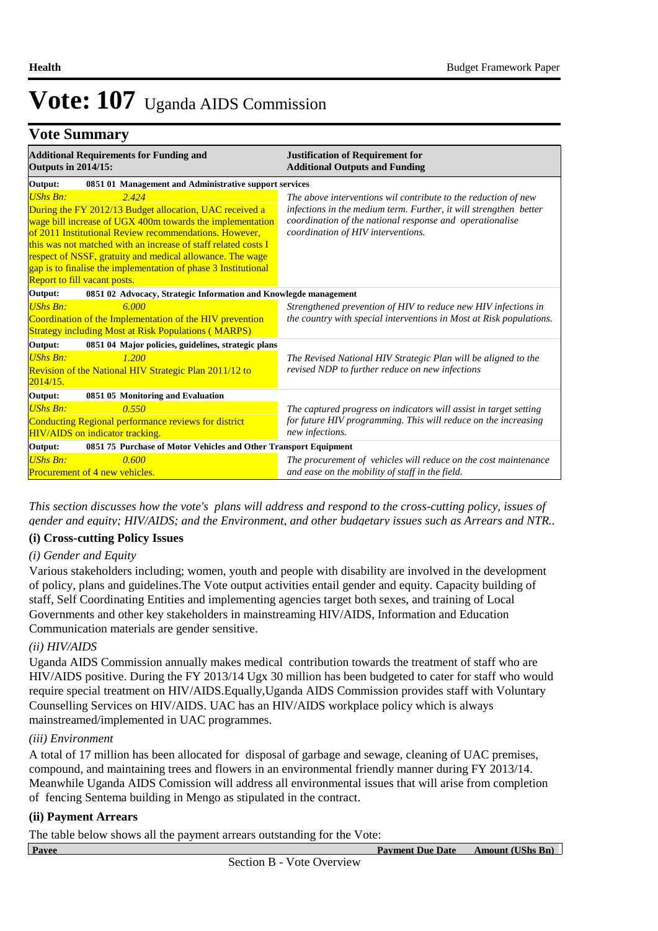### **Vote Summary**

| <b>Additional Requirements for Funding and</b><br><b>Outputs in 2014/15:</b>                                                                                                                                                                                                                                                                                                                                                                | <b>Justification of Requirement for</b><br><b>Additional Outputs and Funding</b>                                                                                                                                                      |  |  |  |  |
|---------------------------------------------------------------------------------------------------------------------------------------------------------------------------------------------------------------------------------------------------------------------------------------------------------------------------------------------------------------------------------------------------------------------------------------------|---------------------------------------------------------------------------------------------------------------------------------------------------------------------------------------------------------------------------------------|--|--|--|--|
| Output:<br>0851 01 Management and Administrative support services                                                                                                                                                                                                                                                                                                                                                                           |                                                                                                                                                                                                                                       |  |  |  |  |
| 2.424<br><b>UShs Bn:</b><br>During the FY 2012/13 Budget allocation, UAC received a<br>wage bill increase of UGX 400m towards the implementation<br>of 2011 Institutional Review recommendations. However,<br>this was not matched with an increase of staff related costs I<br>respect of NSSF, gratuity and medical allowance. The wage<br>gap is to finalise the implementation of phase 3 Institutional<br>Report to fill vacant posts. | The above interventions wil contribute to the reduction of new<br>infections in the medium term. Further, it will strengthen better<br>coordination of the national response and operationalise<br>coordination of HIV interventions. |  |  |  |  |
| 0851 02 Advocacy, Strategic Information and Knowlegde management<br>Output:                                                                                                                                                                                                                                                                                                                                                                 |                                                                                                                                                                                                                                       |  |  |  |  |
| <b>UShs Bn:</b><br>6.000<br>Coordination of the Implementation of the HIV prevention<br><b>Strategy including Most at Risk Populations (MARPS)</b>                                                                                                                                                                                                                                                                                          | Strengthened prevention of HIV to reduce new HIV infections in<br>the country with special interventions in Most at Risk populations.                                                                                                 |  |  |  |  |
| Output:<br>0851 04 Major policies, guidelines, strategic plans                                                                                                                                                                                                                                                                                                                                                                              |                                                                                                                                                                                                                                       |  |  |  |  |
| <b>UShs Bn:</b><br>1.200<br>Revision of the National HIV Strategic Plan 2011/12 to<br>2014/15.                                                                                                                                                                                                                                                                                                                                              | The Revised National HIV Strategic Plan will be aligned to the<br>revised NDP to further reduce on new infections                                                                                                                     |  |  |  |  |
| 0851 05 Monitoring and Evaluation<br>Output:                                                                                                                                                                                                                                                                                                                                                                                                |                                                                                                                                                                                                                                       |  |  |  |  |
| UShs Bn:<br>0.550<br>Conducting Regional performance reviews for district<br><b>HIV/AIDS</b> on indicator tracking.                                                                                                                                                                                                                                                                                                                         | The captured progress on indicators will assist in target setting<br>for future HIV programming. This will reduce on the increasing<br>new infections.                                                                                |  |  |  |  |
| 0851 75 Purchase of Motor Vehicles and Other Transport Equipment<br>Output:                                                                                                                                                                                                                                                                                                                                                                 |                                                                                                                                                                                                                                       |  |  |  |  |
| <b>UShs Bn:</b><br>0.600<br><b>Procurement of 4 new vehicles.</b>                                                                                                                                                                                                                                                                                                                                                                           | The procurement of vehicles will reduce on the cost maintenance<br>and ease on the mobility of staff in the field.                                                                                                                    |  |  |  |  |

*This section discusses how the vote's plans will address and respond to the cross-cutting policy, issues of gender and equity; HIV/AIDS; and the Environment, and other budgetary issues such as Arrears and NTR..* 

#### **(i) Cross-cutting Policy Issues**

#### *(i) Gender and Equity*

Various stakeholders including; women, youth and people with disability are involved in the development of policy, plans and guidelines.The Vote output activities entail gender and equity. Capacity building of staff, Self Coordinating Entities and implementing agencies target both sexes, and training of Local Governments and other key stakeholders in mainstreaming HIV/AIDS, Information and Education Communication materials are gender sensitive.

#### *(ii) HIV/AIDS*

Uganda AIDS Commission annually makes medical contribution towards the treatment of staff who are HIV/AIDS positive. During the FY 2013/14 Ugx 30 million has been budgeted to cater for staff who would require special treatment on HIV/AIDS.Equally,Uganda AIDS Commission provides staff with Voluntary Counselling Services on HIV/AIDS. UAC has an HIV/AIDS workplace policy which is always mainstreamed/implemented in UAC programmes.

#### *(iii) Environment*

A total of 17 million has been allocated for disposal of garbage and sewage, cleaning of UAC premises, compound, and maintaining trees and flowers in an environmental friendly manner during FY 2013/14. Meanwhile Uganda AIDS Comission will address all environmental issues that will arise from completion of fencing Sentema building in Mengo as stipulated in the contract.

#### **(ii) Payment Arrears**

The table below shows all the payment arrears outstanding for the Vote: